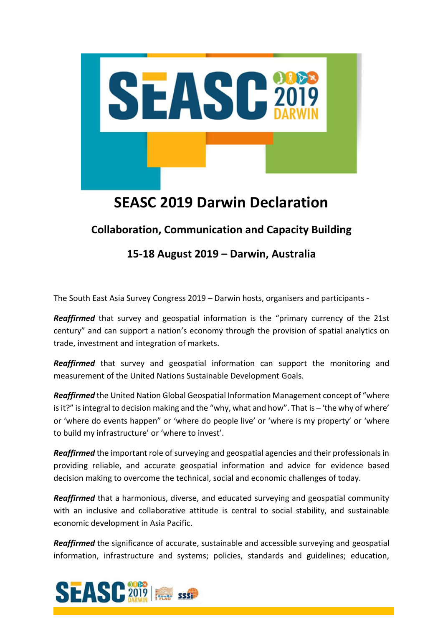

## **SEASC 2019 Darwin Declaration**

## **Collaboration, Communication and Capacity Building**

## **15-18 August 2019 – Darwin, Australia**

The South East Asia Survey Congress 2019 – Darwin hosts, organisers and participants -

*Reaffirmed* that survey and geospatial information is the "primary currency of the 21st century" and can support a nation's economy through the provision of spatial analytics on trade, investment and integration of markets.

*Reaffirmed* that survey and geospatial information can support the monitoring and measurement of the United Nations Sustainable Development Goals.

*Reaffirmed* the United Nation Global Geospatial Information Management concept of "where is it?" is integral to decision making and the "why, what and how". That is – 'the why of where' or 'where do events happen" or 'where do people live' or 'where is my property' or 'where to build my infrastructure' or 'where to invest'.

*Reaffirmed* the important role of surveying and geospatial agencies and their professionals in providing reliable, and accurate geospatial information and advice for evidence based decision making to overcome the technical, social and economic challenges of today.

*Reaffirmed* that a harmonious, diverse, and educated surveying and geospatial community with an inclusive and collaborative attitude is central to social stability, and sustainable economic development in Asia Pacific.

*Reaffirmed* the significance of accurate, sustainable and accessible surveying and geospatial information, infrastructure and systems; policies, standards and guidelines; education,

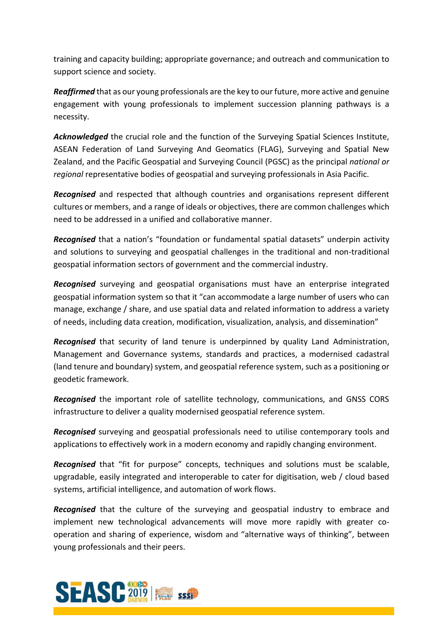training and capacity building; appropriate governance; and outreach and communication to support science and society.

*Reaffirmed* that as our young professionals are the key to our future, more active and genuine engagement with young professionals to implement succession planning pathways is a necessity.

*Acknowledged* the crucial role and the function of the Surveying Spatial Sciences Institute, ASEAN Federation of Land Surveying And Geomatics (FLAG), Surveying and Spatial New Zealand, and the Pacific Geospatial and Surveying Council (PGSC) as the principal *national or regional* representative bodies of geospatial and surveying professionals in Asia Pacific.

*Recognised* and respected that although countries and organisations represent different cultures or members, and a range of ideals or objectives, there are common challenges which need to be addressed in a unified and collaborative manner.

*Recognised* that a nation's "foundation or fundamental spatial datasets" underpin activity and solutions to surveying and geospatial challenges in the traditional and non-traditional geospatial information sectors of government and the commercial industry.

*Recognised* surveying and geospatial organisations must have an enterprise integrated geospatial information system so that it "can accommodate a large number of users who can manage, exchange / share, and use spatial data and related information to address a variety of needs, including data creation, modification, visualization, analysis, and dissemination"

*Recognised* that security of land tenure is underpinned by quality Land Administration, Management and Governance systems, standards and practices, a modernised cadastral (land tenure and boundary) system, and geospatial reference system, such as a positioning or geodetic framework.

*Recognised* the important role of satellite technology, communications, and GNSS CORS infrastructure to deliver a quality modernised geospatial reference system.

*Recognised* surveying and geospatial professionals need to utilise contemporary tools and applications to effectively work in a modern economy and rapidly changing environment.

*Recognised* that "fit for purpose" concepts, techniques and solutions must be scalable, upgradable, easily integrated and interoperable to cater for digitisation, web / cloud based systems, artificial intelligence, and automation of work flows.

*Recognised* that the culture of the surveying and geospatial industry to embrace and implement new technological advancements will move more rapidly with greater cooperation and sharing of experience, wisdom and "alternative ways of thinking", between young professionals and their peers.

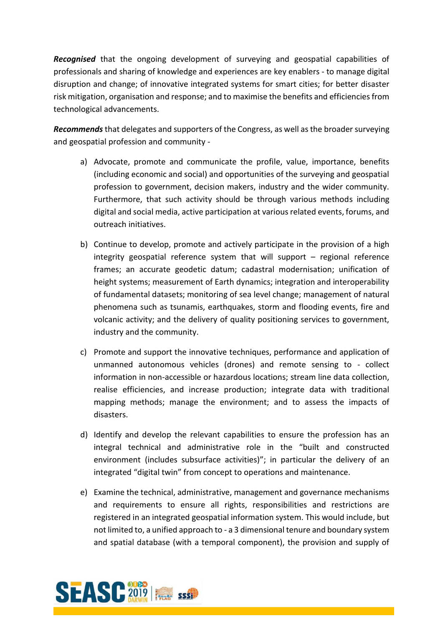*Recognised* that the ongoing development of surveying and geospatial capabilities of professionals and sharing of knowledge and experiences are key enablers - to manage digital disruption and change; of innovative integrated systems for smart cities; for better disaster risk mitigation, organisation and response; and to maximise the benefits and efficiencies from technological advancements.

*Recommends*that delegates and supporters of the Congress, as well as the broader surveying and geospatial profession and community -

- a) Advocate, promote and communicate the profile, value, importance, benefits (including economic and social) and opportunities of the surveying and geospatial profession to government, decision makers, industry and the wider community. Furthermore, that such activity should be through various methods including digital and social media, active participation at various related events, forums, and outreach initiatives.
- b) Continue to develop, promote and actively participate in the provision of a high integrity geospatial reference system that will support – regional reference frames; an accurate geodetic datum; cadastral modernisation; unification of height systems; measurement of Earth dynamics; integration and interoperability of fundamental datasets; monitoring of sea level change; management of natural phenomena such as tsunamis, earthquakes, storm and flooding events, fire and volcanic activity; and the delivery of quality positioning services to government, industry and the community.
- c) Promote and support the innovative techniques, performance and application of unmanned autonomous vehicles (drones) and remote sensing to - collect information in non-accessible or hazardous locations; stream line data collection, realise efficiencies, and increase production; integrate data with traditional mapping methods; manage the environment; and to assess the impacts of disasters.
- d) Identify and develop the relevant capabilities to ensure the profession has an integral technical and administrative role in the "built and constructed environment (includes subsurface activities)"; in particular the delivery of an integrated "digital twin" from concept to operations and maintenance.
- e) Examine the technical, administrative, management and governance mechanisms and requirements to ensure all rights, responsibilities and restrictions are registered in an integrated geospatial information system. This would include, but not limited to, a unified approach to - a 3 dimensional tenure and boundary system and spatial database (with a temporal component), the provision and supply of

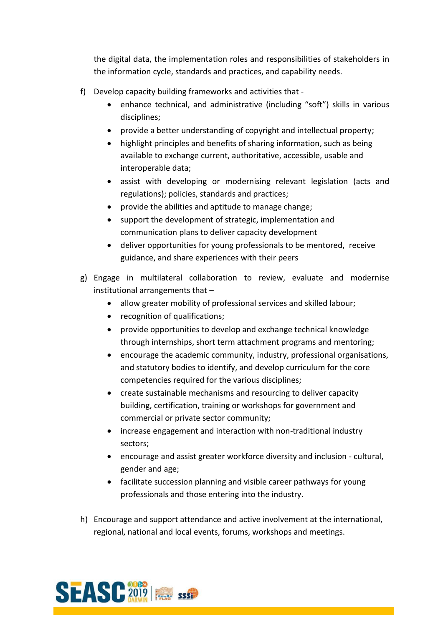the digital data, the implementation roles and responsibilities of stakeholders in the information cycle, standards and practices, and capability needs.

- f) Develop capacity building frameworks and activities that
	- enhance technical, and administrative (including "soft") skills in various disciplines;
	- provide a better understanding of copyright and intellectual property;
	- highlight principles and benefits of sharing information, such as being available to exchange current, authoritative, accessible, usable and interoperable data;
	- assist with developing or modernising relevant legislation (acts and regulations); policies, standards and practices;
	- provide the abilities and aptitude to manage change;
	- support the development of strategic, implementation and communication plans to deliver capacity development
	- deliver opportunities for young professionals to be mentored, receive guidance, and share experiences with their peers
- g) Engage in multilateral collaboration to review, evaluate and modernise institutional arrangements that –
	- allow greater mobility of professional services and skilled labour;
	- recognition of qualifications;
	- provide opportunities to develop and exchange technical knowledge through internships, short term attachment programs and mentoring;
	- encourage the academic community, industry, professional organisations, and statutory bodies to identify, and develop curriculum for the core competencies required for the various disciplines;
	- create sustainable mechanisms and resourcing to deliver capacity building, certification, training or workshops for government and commercial or private sector community;
	- increase engagement and interaction with non-traditional industry sectors;
	- encourage and assist greater workforce diversity and inclusion cultural, gender and age;
	- facilitate succession planning and visible career pathways for young professionals and those entering into the industry.
- h) Encourage and support attendance and active involvement at the international, regional, national and local events, forums, workshops and meetings.